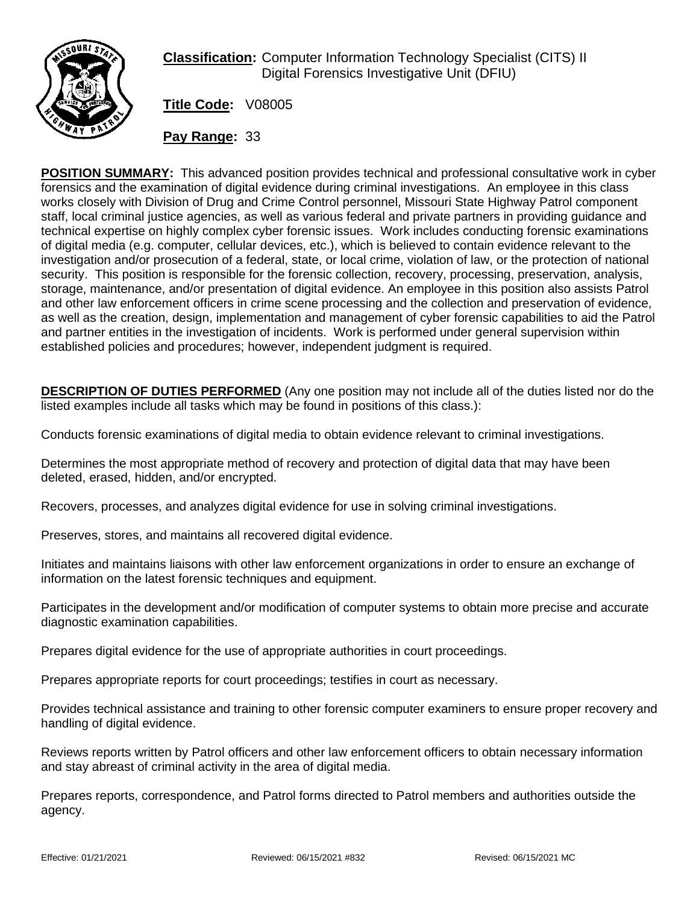

**Classification:** Computer Information Technology Specialist (CITS) II Digital Forensics Investigative Unit (DFIU)

**Title Code:** V08005

**Pay Range:** 33

**POSITION SUMMARY:** This advanced position provides technical and professional consultative work in cyber forensics and the examination of digital evidence during criminal investigations. An employee in this class works closely with Division of Drug and Crime Control personnel, Missouri State Highway Patrol component staff, local criminal justice agencies, as well as various federal and private partners in providing guidance and technical expertise on highly complex cyber forensic issues. Work includes conducting forensic examinations of digital media (e.g. computer, cellular devices, etc.), which is believed to contain evidence relevant to the investigation and/or prosecution of a federal, state, or local crime, violation of law, or the protection of national security. This position is responsible for the forensic collection, recovery, processing, preservation, analysis, storage, maintenance, and/or presentation of digital evidence. An employee in this position also assists Patrol and other law enforcement officers in crime scene processing and the collection and preservation of evidence, as well as the creation, design, implementation and management of cyber forensic capabilities to aid the Patrol and partner entities in the investigation of incidents. Work is performed under general supervision within established policies and procedures; however, independent judgment is required.

**DESCRIPTION OF DUTIES PERFORMED** (Any one position may not include all of the duties listed nor do the listed examples include all tasks which may be found in positions of this class.):

Conducts forensic examinations of digital media to obtain evidence relevant to criminal investigations.

Determines the most appropriate method of recovery and protection of digital data that may have been deleted, erased, hidden, and/or encrypted.

Recovers, processes, and analyzes digital evidence for use in solving criminal investigations.

Preserves, stores, and maintains all recovered digital evidence.

Initiates and maintains liaisons with other law enforcement organizations in order to ensure an exchange of information on the latest forensic techniques and equipment.

Participates in the development and/or modification of computer systems to obtain more precise and accurate diagnostic examination capabilities.

Prepares digital evidence for the use of appropriate authorities in court proceedings.

Prepares appropriate reports for court proceedings; testifies in court as necessary.

Provides technical assistance and training to other forensic computer examiners to ensure proper recovery and handling of digital evidence.

Reviews reports written by Patrol officers and other law enforcement officers to obtain necessary information and stay abreast of criminal activity in the area of digital media.

Prepares reports, correspondence, and Patrol forms directed to Patrol members and authorities outside the agency.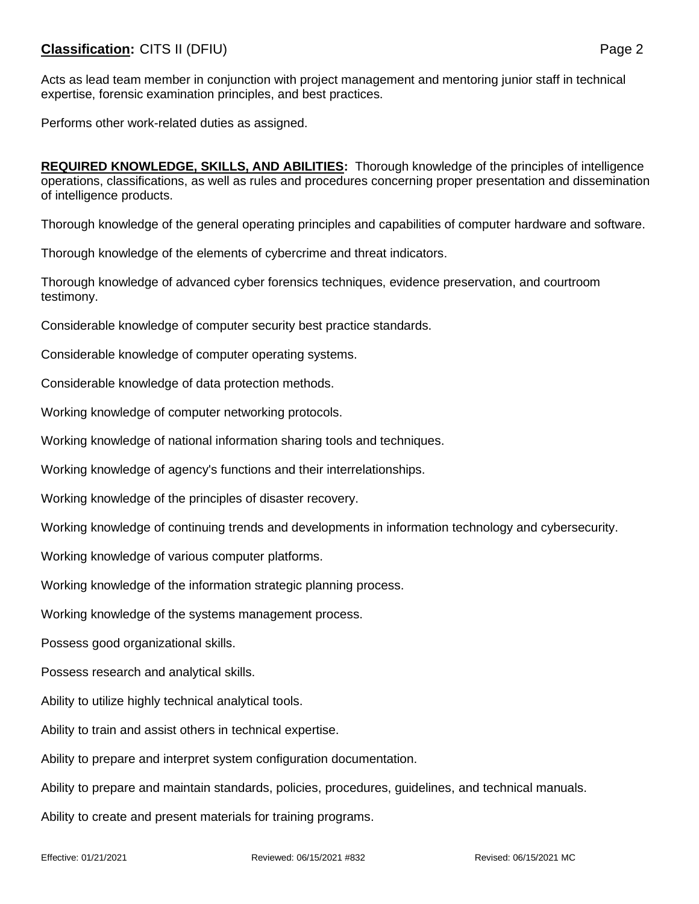## **Classification:** CITS II (DFIU) **Page 2**

Acts as lead team member in conjunction with project management and mentoring junior staff in technical expertise, forensic examination principles, and best practices.

Performs other work-related duties as assigned.

**REQUIRED KNOWLEDGE, SKILLS, AND ABILITIES:** Thorough knowledge of the principles of intelligence operations, classifications, as well as rules and procedures concerning proper presentation and dissemination of intelligence products.

Thorough knowledge of the general operating principles and capabilities of computer hardware and software.

Thorough knowledge of the elements of cybercrime and threat indicators.

Thorough knowledge of advanced cyber forensics techniques, evidence preservation, and courtroom testimony.

Considerable knowledge of computer security best practice standards.

Considerable knowledge of computer operating systems.

Considerable knowledge of data protection methods.

Working knowledge of computer networking protocols.

Working knowledge of national information sharing tools and techniques.

Working knowledge of agency's functions and their interrelationships.

Working knowledge of the principles of disaster recovery.

Working knowledge of continuing trends and developments in information technology and cybersecurity.

Working knowledge of various computer platforms.

Working knowledge of the information strategic planning process.

Working knowledge of the systems management process.

Possess good organizational skills.

Possess research and analytical skills.

Ability to utilize highly technical analytical tools.

Ability to train and assist others in technical expertise.

Ability to prepare and interpret system configuration documentation.

Ability to prepare and maintain standards, policies, procedures, guidelines, and technical manuals.

Ability to create and present materials for training programs.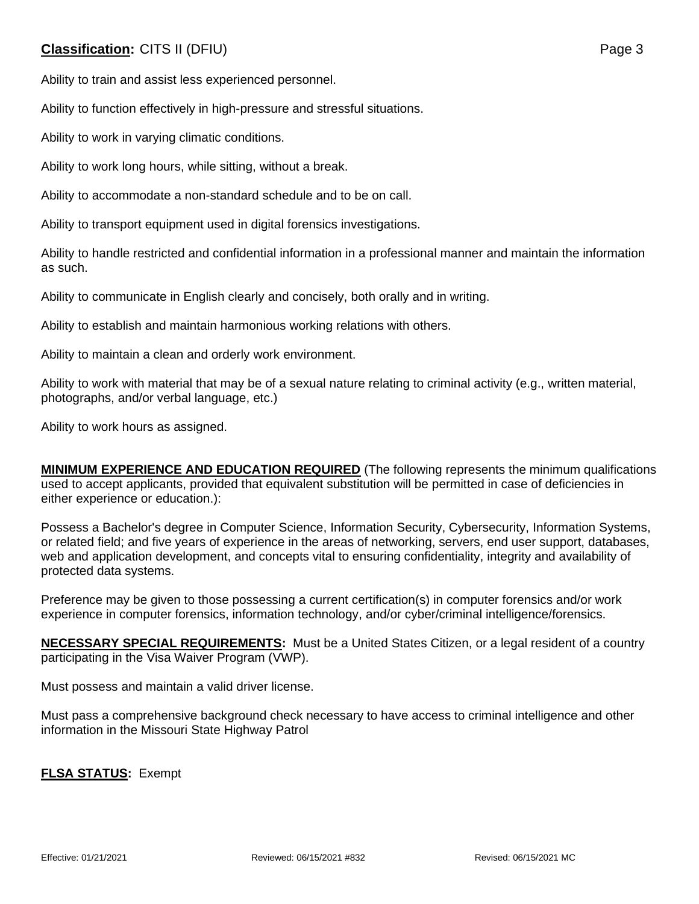## **Classification:** CITS II (DFIU) **Page 3**

Ability to train and assist less experienced personnel.

Ability to function effectively in high-pressure and stressful situations.

Ability to work in varying climatic conditions.

Ability to work long hours, while sitting, without a break.

Ability to accommodate a non-standard schedule and to be on call.

Ability to transport equipment used in digital forensics investigations.

Ability to handle restricted and confidential information in a professional manner and maintain the information as such.

Ability to communicate in English clearly and concisely, both orally and in writing.

Ability to establish and maintain harmonious working relations with others.

Ability to maintain a clean and orderly work environment.

Ability to work with material that may be of a sexual nature relating to criminal activity (e.g., written material, photographs, and/or verbal language, etc.)

Ability to work hours as assigned.

**MINIMUM EXPERIENCE AND EDUCATION REQUIRED** (The following represents the minimum qualifications used to accept applicants, provided that equivalent substitution will be permitted in case of deficiencies in either experience or education.):

Possess a Bachelor's degree in Computer Science, Information Security, Cybersecurity, Information Systems, or related field; and five years of experience in the areas of networking, servers, end user support, databases, web and application development, and concepts vital to ensuring confidentiality, integrity and availability of protected data systems.

Preference may be given to those possessing a current certification(s) in computer forensics and/or work experience in computer forensics, information technology, and/or cyber/criminal intelligence/forensics.

**NECESSARY SPECIAL REQUIREMENTS:** Must be a United States Citizen, or a legal resident of a country participating in the Visa Waiver Program (VWP).

Must possess and maintain a valid driver license.

Must pass a comprehensive background check necessary to have access to criminal intelligence and other information in the Missouri State Highway Patrol

**FLSA STATUS:** Exempt